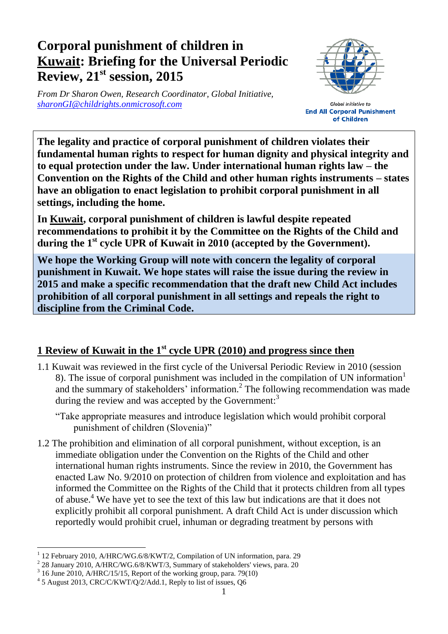## **Corporal punishment of children in Kuwait: Briefing for the Universal Periodic Review, 21 st session, 2015**

*From Dr Sharon Owen, Research Coordinator, Global Initiative, [sharonGI@childrights.onmicrosoft.com](mailto:sharonGI@childrights.onmicrosoft.com)*



**Global Initiative to End All Corporal Punishment** of Children

**The legality and practice of corporal punishment of children violates their fundamental human rights to respect for human dignity and physical integrity and to equal protection under the law. Under international human rights law – the Convention on the Rights of the Child and other human rights instruments – states have an obligation to enact legislation to prohibit corporal punishment in all settings, including the home.**

**In Kuwait, corporal punishment of children is lawful despite repeated recommendations to prohibit it by the Committee on the Rights of the Child and during the 1 st cycle UPR of Kuwait in 2010 (accepted by the Government).**

**We hope the Working Group will note with concern the legality of corporal punishment in Kuwait. We hope states will raise the issue during the review in 2015 and make a specific recommendation that the draft new Child Act includes prohibition of all corporal punishment in all settings and repeals the right to discipline from the Criminal Code.**

## **1 Review of Kuwait in the 1st cycle UPR (2010) and progress since then**

1.1 Kuwait was reviewed in the first cycle of the Universal Periodic Review in 2010 (session 8). The issue of corporal punishment was included in the compilation of UN information<sup>1</sup> and the summary of stakeholders' information.<sup>2</sup> The following recommendation was made during the review and was accepted by the Government:<sup>3</sup>

"Take appropriate measures and introduce legislation which would prohibit corporal punishment of children (Slovenia)"

1.2 The prohibition and elimination of all corporal punishment, without exception, is an immediate obligation under the Convention on the Rights of the Child and other international human rights instruments. Since the review in 2010, the Government has enacted Law No. 9/2010 on protection of children from violence and exploitation and has informed the Committee on the Rights of the Child that it protects children from all types of abuse.<sup>4</sup> We have yet to see the text of this law but indications are that it does not explicitly prohibit all corporal punishment. A draft Child Act is under discussion which reportedly would prohibit cruel, inhuman or degrading treatment by persons with

 $\overline{a}$ 1 12 February 2010, A/HRC/WG.6/8/KWT/2, Compilation of UN information, para. 29

<sup>&</sup>lt;sup>2</sup> 28 January 2010, A/HRC/WG.6/8/KWT/3, Summary of stakeholders' views, para. 20

 $3$  16 June 2010, A/HRC/15/15, Report of the working group, para. 79(10)

<sup>&</sup>lt;sup>4</sup> 5 August 2013, CRC/C/KWT/Q/2/Add.1, Reply to list of issues, Q6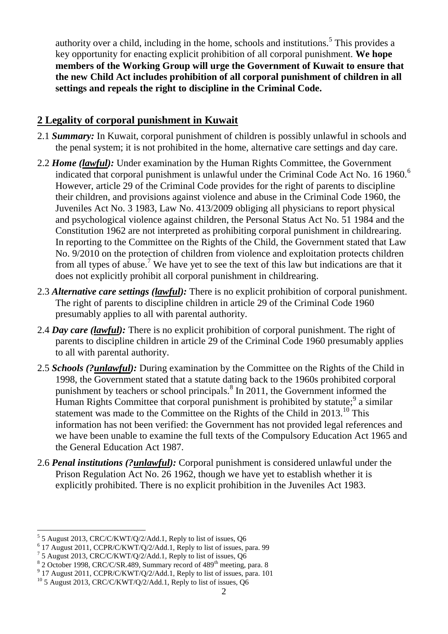authority over a child, including in the home, schools and institutions.<sup>5</sup> This provides a key opportunity for enacting explicit prohibition of all corporal punishment. **We hope members of the Working Group will urge the Government of Kuwait to ensure that the new Child Act includes prohibition of all corporal punishment of children in all settings and repeals the right to discipline in the Criminal Code.**

## **2 Legality of corporal punishment in Kuwait**

- 2.1 *Summary:* In Kuwait, corporal punishment of children is possibly unlawful in schools and the penal system; it is not prohibited in the home, alternative care settings and day care.
- 2.2 *Home (lawful):* Under examination by the Human Rights Committee, the Government indicated that corporal punishment is unlawful under the Criminal Code Act No. 16 1960.<sup>6</sup> However, article 29 of the Criminal Code provides for the right of parents to discipline their children, and provisions against violence and abuse in the Criminal Code 1960, the Juveniles Act No. 3 1983, Law No. 413/2009 obliging all physicians to report physical and psychological violence against children, the Personal Status Act No. 51 1984 and the Constitution 1962 are not interpreted as prohibiting corporal punishment in childrearing. In reporting to the Committee on the Rights of the Child, the Government stated that Law No. 9/2010 on the protection of children from violence and exploitation protects children from all types of abuse.<sup>7</sup> We have yet to see the text of this law but indications are that it does not explicitly prohibit all corporal punishment in childrearing.
- 2.3 *Alternative care settings (lawful):* There is no explicit prohibition of corporal punishment. The right of parents to discipline children in article 29 of the Criminal Code 1960 presumably applies to all with parental authority.
- 2.4 *Day care (lawful):* There is no explicit prohibition of corporal punishment. The right of parents to discipline children in article 29 of the Criminal Code 1960 presumably applies to all with parental authority.
- 2.5 *Schools (?unlawful):* During examination by the Committee on the Rights of the Child in 1998, the Government stated that a statute dating back to the 1960s prohibited corporal punishment by teachers or school principals. $8 \text{ In } 2011$ , the Government informed the Human Rights Committee that corporal punishment is prohibited by statute;  $9^9$  a similar statement was made to the Committee on the Rights of the Child in 2013.<sup>10</sup> This information has not been verified: the Government has not provided legal references and we have been unable to examine the full texts of the Compulsory Education Act 1965 and the General Education Act 1987.
- 2.6 *Penal institutions (?unlawful):* Corporal punishment is considered unlawful under the Prison Regulation Act No. 26 1962, though we have yet to establish whether it is explicitly prohibited. There is no explicit prohibition in the Juveniles Act 1983.

 $\overline{a}$ 

 $5$  5 August 2013, CRC/C/KWT/Q/2/Add.1, Reply to list of issues, Q6

<sup>6</sup> 17 August 2011, CCPR/C/KWT/Q/2/Add.1, Reply to list of issues, para. 99

 $7$  5 August 2013, CRC/C/KWT/Q/2/Add.1, Reply to list of issues, Q6

<sup>&</sup>lt;sup>8</sup> 2 October 1998, CRC/C/SR.489, Summary record of 489<sup>th</sup> meeting, para. 8

<sup>&</sup>lt;sup>9</sup> 17 August 2011, CCPR/C/KWT/Q/2/Add.1, Reply to list of issues, para. 101

 $10$  5 August 2013, CRC/C/KWT/Q/2/Add.1, Reply to list of issues, Q6